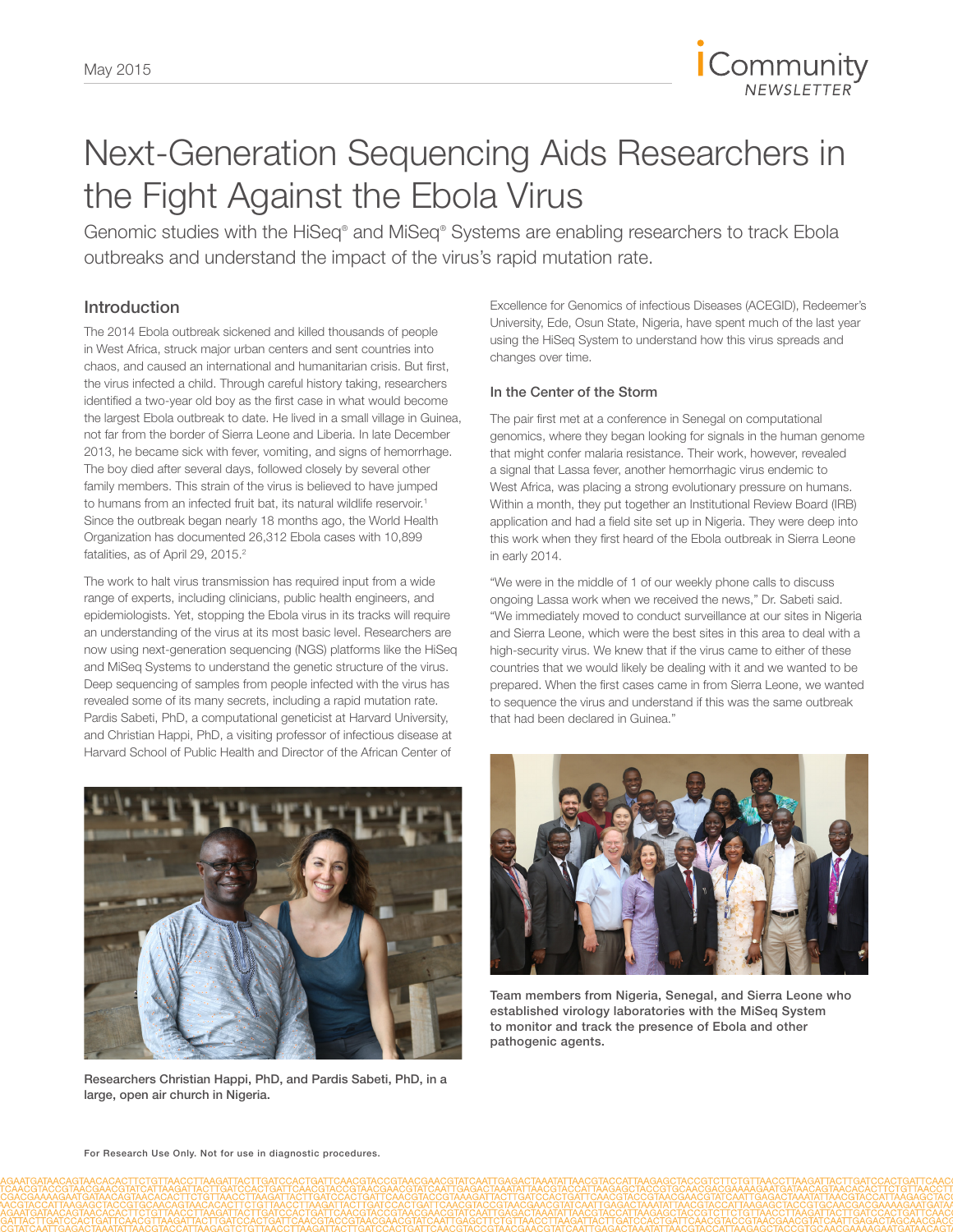

# Next-Generation Sequencing Aids Researchers in the Fight Against the Ebola Virus

Genomic studies with the HiSeq® and MiSeq® Systems are enabling researchers to track Ebola outbreaks and understand the impact of the virus's rapid mutation rate.

# Introduction

The 2014 Ebola outbreak sickened and killed thousands of people in West Africa, struck major urban centers and sent countries into chaos, and caused an international and humanitarian crisis. But first, the virus infected a child. Through careful history taking, researchers identified a two-year old boy as the first case in what would become the largest Ebola outbreak to date. He lived in a small village in Guinea, not far from the border of Sierra Leone and Liberia. In late December 2013, he became sick with fever, vomiting, and signs of hemorrhage. The boy died after several days, followed closely by several other family members. This strain of the virus is believed to have jumped to humans from an infected fruit bat, its natural wildlife reservoir.<sup>1</sup> Since the outbreak began nearly 18 months ago, the World Health Organization has documented 26,312 Ebola cases with 10,899 fatalities, as of April 29, 2015.<sup>2</sup>

The work to halt virus transmission has required input from a wide range of experts, including clinicians, public health engineers, and epidemiologists. Yet, stopping the Ebola virus in its tracks will require an understanding of the virus at its most basic level. Researchers are now using next-generation sequencing (NGS) platforms like the HiSeq and MiSeq Systems to understand the genetic structure of the virus. Deep sequencing of samples from people infected with the virus has revealed some of its many secrets, including a rapid mutation rate. Pardis Sabeti, PhD, a computational geneticist at Harvard University, and Christian Happi, PhD, a visiting professor of infectious disease at Harvard School of Public Health and Director of the African Center of



Researchers Christian Happi, PhD, and Pardis Sabeti, PhD, in a large, open air church in Nigeria.

Excellence for Genomics of infectious Diseases (ACEGID), Redeemer's University, Ede, Osun State, Nigeria, have spent much of the last year using the HiSeq System to understand how this virus spreads and changes over time.

## In the Center of the Storm

The pair first met at a conference in Senegal on computational genomics, where they began looking for signals in the human genome that might confer malaria resistance. Their work, however, revealed a signal that Lassa fever, another hemorrhagic virus endemic to West Africa, was placing a strong evolutionary pressure on humans. Within a month, they put together an Institutional Review Board (IRB) application and had a field site set up in Nigeria. They were deep into this work when they first heard of the Ebola outbreak in Sierra Leone in early 2014.

"We were in the middle of 1 of our weekly phone calls to discuss ongoing Lassa work when we received the news," Dr. Sabeti said. "We immediately moved to conduct surveillance at our sites in Nigeria and Sierra Leone, which were the best sites in this area to deal with a high-security virus. We knew that if the virus came to either of these countries that we would likely be dealing with it and we wanted to be prepared. When the first cases came in from Sierra Leone, we wanted to sequence the virus and understand if this was the same outbreak that had been declared in Guinea."



Team members from Nigeria, Senegal, and Sierra Leone who established virology laboratories with the MiSeq System to monitor and track the presence of Ebola and other pathogenic agents.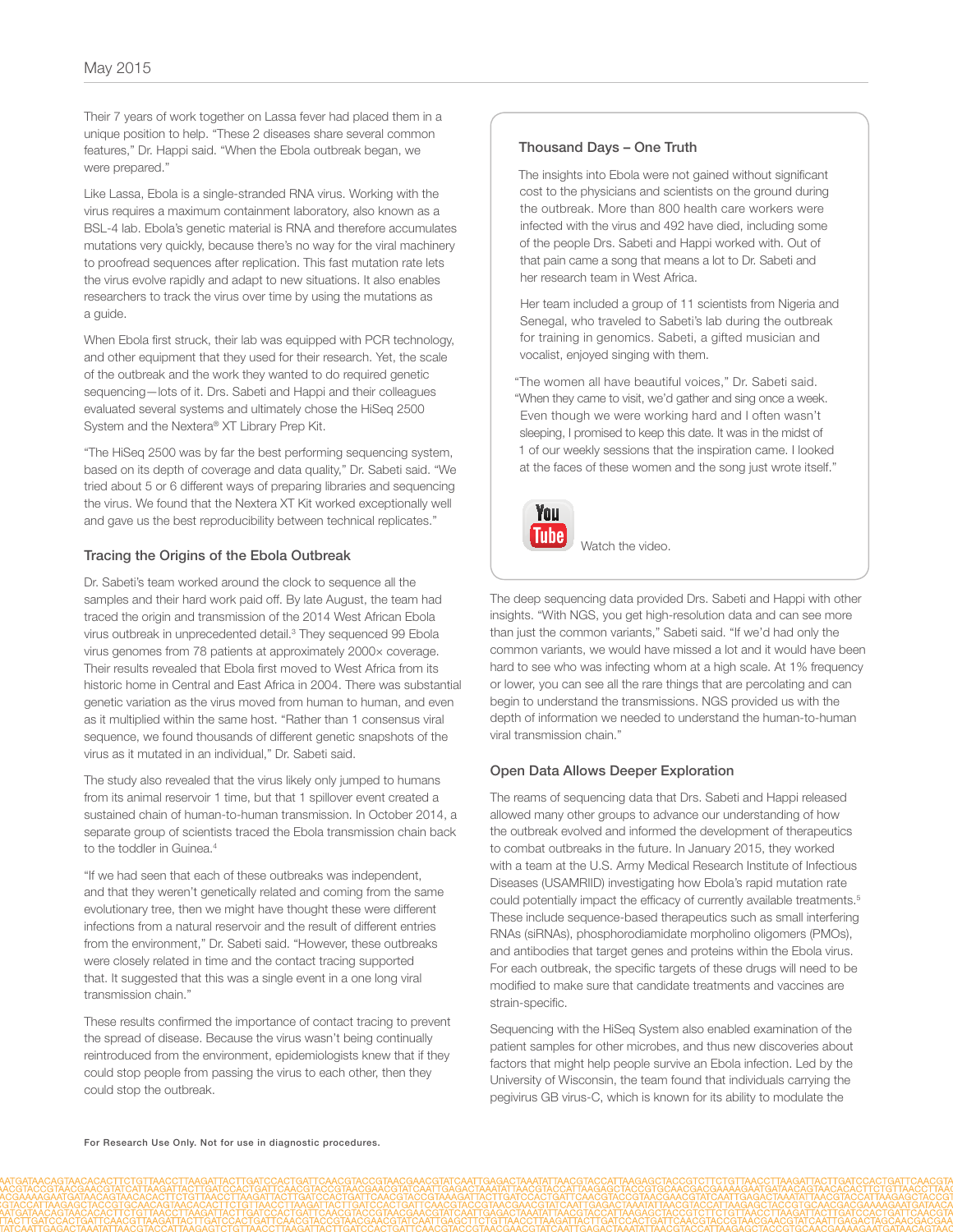Their 7 years of work together on Lassa fever had placed them in a unique position to help. "These 2 diseases share several common features," Dr. Happi said. "When the Ebola outbreak began, we were prepared."

Like Lassa, Ebola is a single-stranded RNA virus. Working with the virus requires a maximum containment laboratory, also known as a BSL-4 lab. Ebola's genetic material is RNA and therefore accumulates mutations very quickly, because there's no way for the viral machinery to proofread sequences after replication. This fast mutation rate lets the virus evolve rapidly and adapt to new situations. It also enables researchers to track the virus over time by using the mutations as a guide.

When Ebola first struck, their lab was equipped with PCR technology, and other equipment that they used for their research. Yet, the scale of the outbreak and the work they wanted to do required genetic sequencing—lots of it. Drs. Sabeti and Happi and their colleagues evaluated several systems and ultimately chose the HiSeq 2500 System and the Nextera® XT Library Prep Kit.

"The HiSeq 2500 was by far the best performing sequencing system, based on its depth of coverage and data quality," Dr. Sabeti said. "We tried about 5 or 6 different ways of preparing libraries and sequencing the virus. We found that the Nextera XT Kit worked exceptionally well and gave us the best reproducibility between technical replicates."

## Tracing the Origins of the Ebola Outbreak

Dr. Sabeti's team worked around the clock to sequence all the samples and their hard work paid off. By late August, the team had traced the origin and transmission of the 2014 West African Ebola virus outbreak in unprecedented detail.<sup>3</sup> They sequenced 99 Ebola virus genomes from 78 patients at approximately 2000× coverage. Their results revealed that Ebola first moved to West Africa from its historic home in Central and East Africa in 2004. There was substantial genetic variation as the virus moved from human to human, and even as it multiplied within the same host. "Rather than 1 consensus viral sequence, we found thousands of different genetic snapshots of the virus as it mutated in an individual," Dr. Sabeti said.

The study also revealed that the virus likely only jumped to humans from its animal reservoir 1 time, but that 1 spillover event created a sustained chain of human-to-human transmission. In October 2014, a separate group of scientists traced the Ebola transmission chain back to the toddler in Guinea<sup>4</sup>

"If we had seen that each of these outbreaks was independent, and that they weren't genetically related and coming from the same evolutionary tree, then we might have thought these were different infections from a natural reservoir and the result of different entries from the environment," Dr. Sabeti said. "However, these outbreaks were closely related in time and the contact tracing supported that. It suggested that this was a single event in a one long viral transmission chain."

These results confirmed the importance of contact tracing to prevent the spread of disease. Because the virus wasn't being continually reintroduced from the environment, epidemiologists knew that if they could stop people from passing the virus to each other, then they could stop the outbreak.

#### Thousand Days – One Truth

The insights into Ebola were not gained without significant cost to the physicians and scientists on the ground during the outbreak. More than 800 health care workers were infected with the virus and 492 have died, including some of the people Drs. Sabeti and Happi worked with. Out of that pain came a song that means a lot to Dr. Sabeti and her research team in West Africa.

Her team included a group of 11 scientists from Nigeria and Senegal, who traveled to Sabeti's lab during the outbreak for training in genomics. Sabeti, a gifted musician and vocalist, enjoyed singing with them.

"The women all have beautiful voices," Dr. Sabeti said. "When they came to visit, we'd gather and sing once a week. Even though we were working hard and I often wasn't sleeping, I promised to keep this date. It was in the midst of 1 of our weekly sessions that the inspiration came. I looked at the faces of these women and the song just wrote itself."



 [Watch the video.](https://www.youtube.com/watch?v=aSs3DEYMggY)

The deep sequencing data provided Drs. Sabeti and Happi with other insights. "With NGS, you get high-resolution data and can see more than just the common variants," Sabeti said. "If we'd had only the common variants, we would have missed a lot and it would have been hard to see who was infecting whom at a high scale. At 1% frequency or lower, you can see all the rare things that are percolating and can begin to understand the transmissions. NGS provided us with the depth of information we needed to understand the human-to-human viral transmission chain."

#### Open Data Allows Deeper Exploration

The reams of sequencing data that Drs. Sabeti and Happi released allowed many other groups to advance our understanding of how the outbreak evolved and informed the development of therapeutics to combat outbreaks in the future. In January 2015, they worked with a team at the U.S. Army Medical Research Institute of Infectious Diseases (USAMRIID) investigating how Ebola's rapid mutation rate could potentially impact the efficacy of currently available treatments.<sup>5</sup> These include sequence-based therapeutics such as small interfering RNAs (siRNAs), phosphorodiamidate morpholino oligomers (PMOs), and antibodies that target genes and proteins within the Ebola virus. For each outbreak, the specific targets of these drugs will need to be modified to make sure that candidate treatments and vaccines are strain-specific.

Sequencing with the HiSeq System also enabled examination of the patient samples for other microbes, and thus new discoveries about factors that might help people survive an Ebola infection. Led by the University of Wisconsin, the team found that individuals carrying the pegivirus GB virus-C, which is known for its ability to modulate the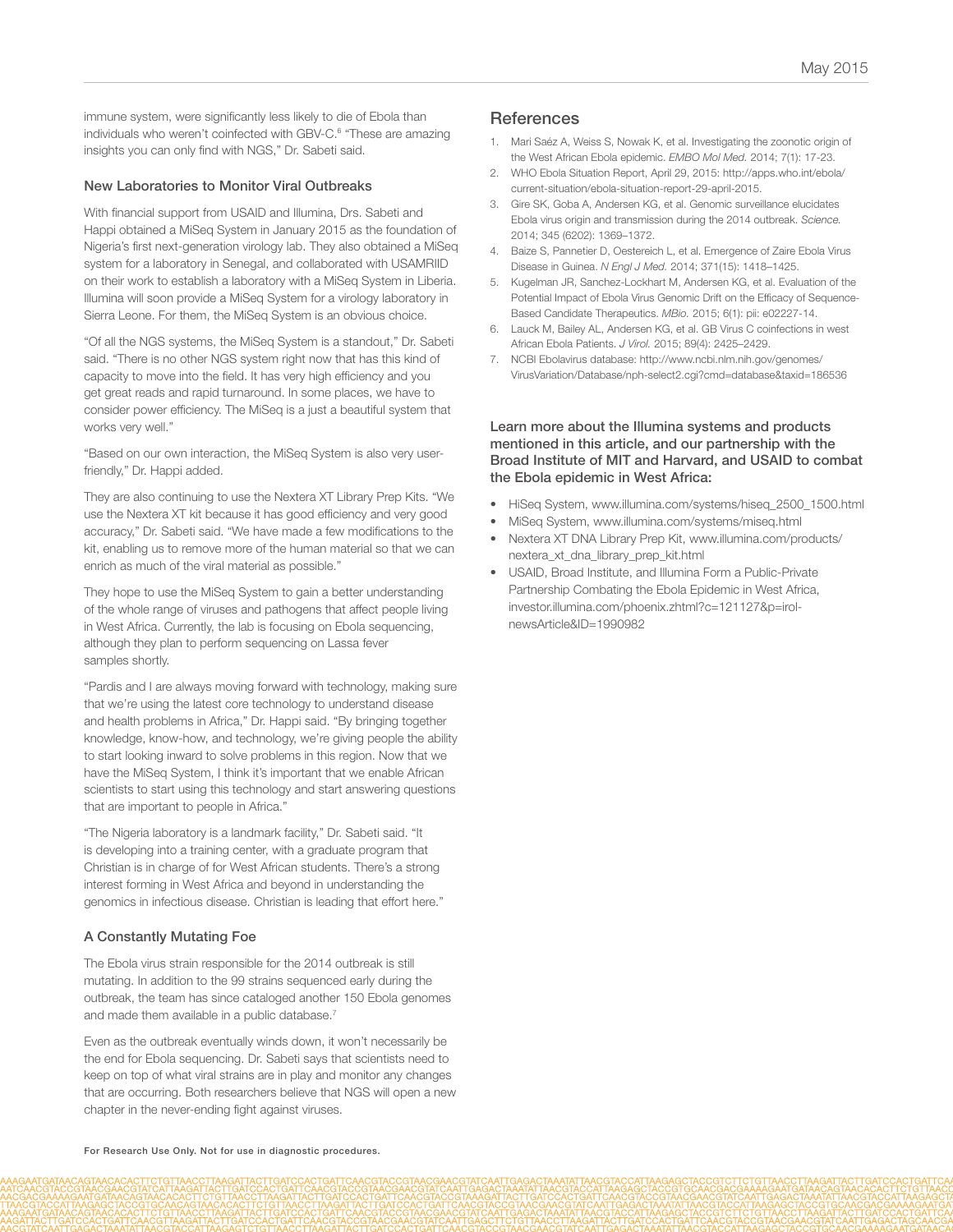immune system, were significantly less likely to die of Ebola than individuals who weren't coinfected with GBV-C.<sup>6</sup> "These are amazing insights you can only find with NGS," Dr. Sabeti said.

#### New Laboratories to Monitor Viral Outbreaks

With financial support from USAID and Illumina, Drs. Sabeti and Happi obtained a MiSeq System in January 2015 as the foundation of Nigeria's first next-generation virology lab. They also obtained a MiSeq system for a laboratory in Senegal, and collaborated with USAMRIID on their work to establish a laboratory with a MiSeq System in Liberia. Illumina will soon provide a MiSeq System for a virology laboratory in Sierra Leone. For them, the MiSeq System is an obvious choice.

"Of all the NGS systems, the MiSeq System is a standout," Dr. Sabeti said. "There is no other NGS system right now that has this kind of capacity to move into the field. It has very high efficiency and you get great reads and rapid turnaround. In some places, we have to consider power efficiency. The MiSeq is a just a beautiful system that works very well."

"Based on our own interaction, the MiSeq System is also very userfriendly," Dr. Happi added.

They are also continuing to use the Nextera XT Library Prep Kits. "We use the Nextera XT kit because it has good efficiency and very good accuracy," Dr. Sabeti said. "We have made a few modifications to the kit, enabling us to remove more of the human material so that we can enrich as much of the viral material as possible."

They hope to use the MiSeq System to gain a better understanding of the whole range of viruses and pathogens that affect people living in West Africa. Currently, the lab is focusing on Ebola sequencing, although they plan to perform sequencing on Lassa fever samples shortly.

"Pardis and I are always moving forward with technology, making sure that we're using the latest core technology to understand disease and health problems in Africa," Dr. Happi said. "By bringing together knowledge, know-how, and technology, we're giving people the ability to start looking inward to solve problems in this region. Now that we have the MiSeq System, I think it's important that we enable African scientists to start using this technology and start answering questions that are important to people in Africa."

"The Nigeria laboratory is a landmark facility," Dr. Sabeti said. "It is developing into a training center, with a graduate program that Christian is in charge of for West African students. There's a strong interest forming in West Africa and beyond in understanding the genomics in infectious disease. Christian is leading that effort here."

#### A Constantly Mutating Foe

The Ebola virus strain responsible for the 2014 outbreak is still mutating. In addition to the 99 strains sequenced early during the outbreak, the team has since cataloged another 150 Ebola genomes and made them available in a public database.7

Even as the outbreak eventually winds down, it won't necessarily be the end for Ebola sequencing. Dr. Sabeti says that scientists need to keep on top of what viral strains are in play and monitor any changes that are occurring. Both researchers believe that NGS will open a new chapter in the never-ending fight against viruses.

- 1. [Mari Saéz A, Weiss S, Nowak K, et al. Investigating the zoonotic origin of](http://www.ncbi.nlm.nih.gov/pubmed/25550396)  [the West African Ebola epidemic.](http://www.ncbi.nlm.nih.gov/pubmed/25550396) *EMBO Mol Med.* 2014; 7(1): 17-23.
- 2. [WHO Ebola Situation Report, April 29, 2015: http://apps.who.int/ebola/](http://apps.who.int/ebola/current-situation/ebola-situation-report-29-april-2015) [current-situation/ebola-situation-report-29-april-2015.](http://apps.who.int/ebola/current-situation/ebola-situation-report-29-april-2015)
- 3. [Gire SK, Goba A, Andersen KG, et al. Genomic surveillance elucidates](http://www.ncbi.nlm.nih.gov/pubmed/25214632)  [Ebola virus origin and transmission during the 2014 outbreak.](http://www.ncbi.nlm.nih.gov/pubmed/25214632) *Science.* [2014; 345 \(6202\): 1369–1372.](http://www.ncbi.nlm.nih.gov/pubmed/25214632)
- 4. [Baize S, Pannetier D, Oestereich L, et al. Emergence of Zaire Ebola Virus](http://www.ncbi.nlm.nih.gov/pubmed/24738640)  Disease in Guinea. *N Engl J Med.* [2014; 371\(15\): 1418–1425.](http://www.ncbi.nlm.nih.gov/pubmed/24738640)
- 5. [Kugelman JR, Sanchez-Lockhart M, Andersen KG, et al. Evaluation of the](http://www.ncbi.nlm.nih.gov/pubmed/25604787)  [Potential Impact of Ebola Virus Genomic Drift on the Efficacy of Sequence-](http://www.ncbi.nlm.nih.gov/pubmed/25604787)[Based Candidate Therapeutics.](http://www.ncbi.nlm.nih.gov/pubmed/25604787) *MBio.* 2015; 6(1): pii: e02227-14.
- 6. [Lauck M, Bailey AL, Andersen KG, et al. GB Virus C coinfections in west](http://www.ncbi.nlm.nih.gov/pubmed/25473056)  African Ebola Patients. *J Virol.* [2015; 89\(4\): 2425–2429.](http://www.ncbi.nlm.nih.gov/pubmed/25473056)
- 7. [NCBI Ebolavirus database: http://www.ncbi.nlm.nih.gov/genomes/](http://www.ncbi.nlm.nih.gov/genomes/VirusVariation/Database/nph-select2.cgi?cmd=database&taxid=186536) [VirusVariation/Database/nph-select2.cgi?cmd=database&taxid=186536](http://www.ncbi.nlm.nih.gov/genomes/VirusVariation/Database/nph-select2.cgi?cmd=database&taxid=186536)

#### Learn more about the Illumina systems and products mentioned in this article, and our partnership with the Broad Institute of MIT and Harvard, and USAID to combat the Ebola epidemic in West Africa:

- [HiSeq System, www.illumina.com/systems/hiseq\\_2500\\_1500.html](http://www.illumina.com/systems/hiseq_2500_1500.html)
- [MiSeq System, www.illumina.com/systems/miseq.html](http://www.illumina.com/systems/miseq.html)
- [Nextera XT DNA Library Prep Kit, www.illumina.com/products/](http://www.illumina.com/products/nextera_xt_dna_library_prep_kit.html) [nextera\\_xt\\_dna\\_library\\_prep\\_kit.html](http://www.illumina.com/products/nextera_xt_dna_library_prep_kit.html)
- [USAID, Broad Institute, and Illumina Form a Public-Private](http://investor.illumina.com/phoenix.zhtml?c=121127&p=irol-newsArticle&ID=1990982)  [Partnership Combating the Ebola Epidemic in West Africa,](http://investor.illumina.com/phoenix.zhtml?c=121127&p=irol-newsArticle&ID=1990982)  [investor.illumina.com/phoenix.zhtml?c=121127&p=irol](http://investor.illumina.com/phoenix.zhtml?c=121127&p=irol-newsArticle&ID=1990982)[newsArticle&ID=1990982](http://investor.illumina.com/phoenix.zhtml?c=121127&p=irol-newsArticle&ID=1990982)

For Research Use Only. Not for use in diagnostic procedures.